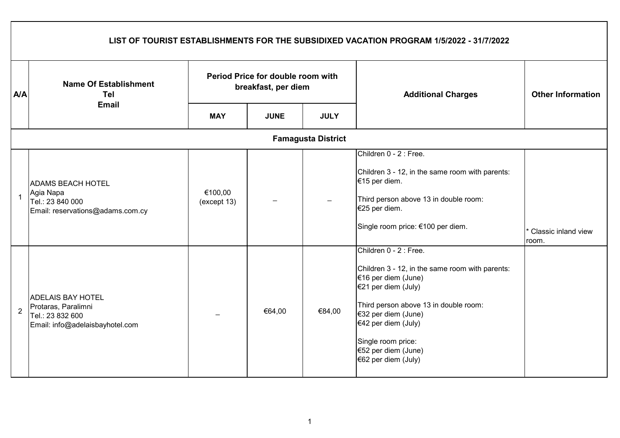|                | LIST OF TOURIST ESTABLISHMENTS FOR THE SUBSIDIXED VACATION PROGRAM 1/5/2022 - 31/7/2022                |                                                          |             |                           |                                                                                                                                                                                                                                                                                    |                                |  |  |  |  |
|----------------|--------------------------------------------------------------------------------------------------------|----------------------------------------------------------|-------------|---------------------------|------------------------------------------------------------------------------------------------------------------------------------------------------------------------------------------------------------------------------------------------------------------------------------|--------------------------------|--|--|--|--|
| <b>A/A</b>     | <b>Name Of Establishment</b><br>Tel<br><b>Email</b>                                                    | Period Price for double room with<br>breakfast, per diem |             |                           | <b>Additional Charges</b>                                                                                                                                                                                                                                                          | <b>Other Information</b>       |  |  |  |  |
|                |                                                                                                        | <b>MAY</b>                                               | <b>JUNE</b> | <b>JULY</b>               |                                                                                                                                                                                                                                                                                    |                                |  |  |  |  |
|                |                                                                                                        |                                                          |             | <b>Famagusta District</b> |                                                                                                                                                                                                                                                                                    |                                |  |  |  |  |
| $\overline{1}$ | <b>ADAMS BEACH HOTEL</b><br>Agia Napa<br>Tel.: 23 840 000<br>Email: reservations@adams.com.cy          | €100,00<br>(except 13)                                   |             |                           | Children 0 - 2 : Free.<br>Children 3 - 12, in the same room with parents:<br>€15 per diem.<br>Third person above 13 in double room:<br>€25 per diem.<br>Single room price: €100 per diem.                                                                                          | * Classic inland view<br>room. |  |  |  |  |
| $\overline{2}$ | <b>ADELAIS BAY HOTEL</b><br>Protaras, Paralimni<br>Tel.: 23 832 600<br>Email: info@adelaisbayhotel.com |                                                          | €64,00      | €84,00                    | Children 0 - 2 : Free.<br>Children 3 - 12, in the same room with parents:<br>€16 per diem (June)<br>€21 per diem (July)<br>Third person above 13 in double room:<br>€32 per diem (June)<br>€42 per diem (July)<br>Single room price:<br>€52 per diem (June)<br>€62 per diem (July) |                                |  |  |  |  |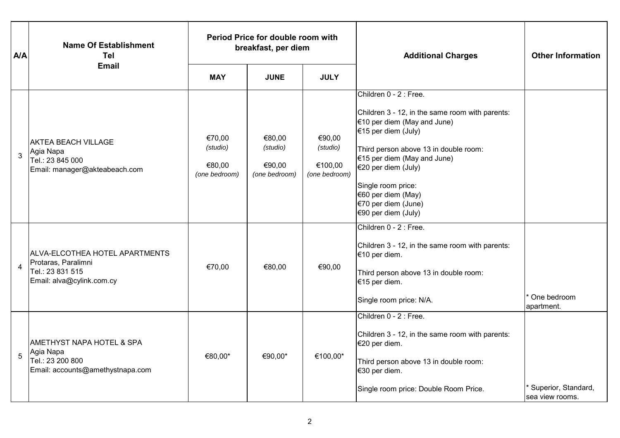| <b>A/A</b>     | <b>Name Of Establishment</b><br>Tel                                                                    | Period Price for double room with<br>breakfast, per diem |                                               |                                                | <b>Additional Charges</b>                                                                                                                                                                                                                                                                                                    | <b>Other Information</b>               |
|----------------|--------------------------------------------------------------------------------------------------------|----------------------------------------------------------|-----------------------------------------------|------------------------------------------------|------------------------------------------------------------------------------------------------------------------------------------------------------------------------------------------------------------------------------------------------------------------------------------------------------------------------------|----------------------------------------|
|                | <b>Email</b>                                                                                           | <b>MAY</b>                                               | <b>JUNE</b>                                   | <b>JULY</b>                                    |                                                                                                                                                                                                                                                                                                                              |                                        |
| 3              | <b>AKTEA BEACH VILLAGE</b><br>Agia Napa<br>Tel.: 23 845 000<br>Email: manager@akteabeach.com           | €70,00<br>(studio)<br>€80,00<br>(one bedroom)            | €80,00<br>(studio)<br>€90,00<br>(one bedroom) | €90,00<br>(studio)<br>€100,00<br>(one bedroom) | Children 0 - 2 : Free.<br>Children 3 - 12, in the same room with parents:<br>$€10$ per diem (May and June)<br>€15 per diem (July)<br>Third person above 13 in double room:<br>$€15$ per diem (May and June)<br>€20 per diem (July)<br>Single room price:<br>€60 per diem (May)<br>€70 per diem (June)<br>€90 per diem (July) |                                        |
| $\overline{4}$ | ALVA-ELCOTHEA HOTEL APARTMENTS<br>Protaras, Paralimni<br>Tel.: 23 831 515<br>Email: alva@cylink.com.cy | €70,00                                                   | €80,00                                        | €90,00                                         | Children 0 - 2 : Free.<br>Children 3 - 12, in the same room with parents:<br>€10 per diem.<br>Third person above 13 in double room:<br>€15 per diem.<br>Single room price: N/A.                                                                                                                                              | One bedroom<br>apartment.              |
| 5              | AMETHYST NAPA HOTEL & SPA<br>Agia Napa<br>Tel.: 23 200 800<br>Email: accounts@amethystnapa.com         | €80,00*                                                  | €90,00*                                       | €100,00*                                       | Children 0 - 2 : Free.<br>Children 3 - 12, in the same room with parents:<br>€20 per diem.<br>Third person above 13 in double room:<br>€30 per diem.<br>Single room price: Double Room Price.                                                                                                                                | Superior, Standard,<br>sea view rooms. |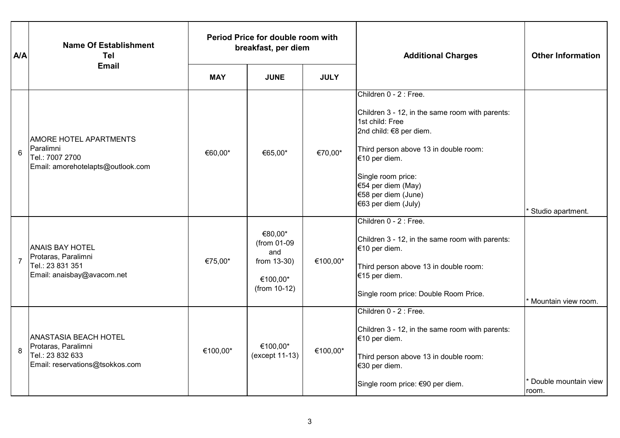| A/A            | <b>Name Of Establishment</b><br><b>Tel</b>                                                                 | Period Price for double room with<br>breakfast, per diem |                                                                            |             | <b>Additional Charges</b>                                                                                                                                                                                                                                                   | <b>Other Information</b>       |
|----------------|------------------------------------------------------------------------------------------------------------|----------------------------------------------------------|----------------------------------------------------------------------------|-------------|-----------------------------------------------------------------------------------------------------------------------------------------------------------------------------------------------------------------------------------------------------------------------------|--------------------------------|
|                | <b>Email</b>                                                                                               | <b>MAY</b>                                               | <b>JUNE</b>                                                                | <b>JULY</b> |                                                                                                                                                                                                                                                                             |                                |
| 6              | <b>AMORE HOTEL APARTMENTS</b><br>Paralimni<br>Tel.: 7007 2700<br>Email: amorehotelapts@outlook.com         | €60,00*                                                  | €65,00*                                                                    | €70,00*     | Children 0 - 2 : Free.<br>Children 3 - 12, in the same room with parents:<br>1st child: Free<br>2nd child: €8 per diem.<br>Third person above 13 in double room:<br>€10 per diem.<br>Single room price:<br>€54 per diem (May)<br>€58 per diem (June)<br>€63 per diem (July) | <sup>*</sup> Studio apartment. |
| $\overline{7}$ | <b>ANAIS BAY HOTEL</b><br>Protaras, Paralimni<br>Tel.: 23 831 351<br>Email: anaisbay@avacom.net            | €75,00*                                                  | €80,00*<br>(from 01-09<br>and<br>from 13-30)<br>€100,00*<br>$(from 10-12)$ | €100,00*    | Children 0 - 2 : Free.<br>Children 3 - 12, in the same room with parents:<br>€10 per diem.<br>Third person above 13 in double room:<br>€15 per diem.<br>Single room price: Double Room Price.                                                                               | * Mountain view room.          |
| 8              | <b>ANASTASIA BEACH HOTEL</b><br>Protaras, Paralimni<br>Tel.: 23 832 633<br>Email: reservations@tsokkos.com | €100,00*                                                 | €100,00*<br>(except 11-13)                                                 | €100,00*    | Children 0 - 2 : Free.<br>Children 3 - 12, in the same room with parents:<br>€10 per diem.<br>Third person above 13 in double room:<br>€30 per diem.<br>Single room price: €90 per diem.                                                                                    | Double mountain view<br>room.  |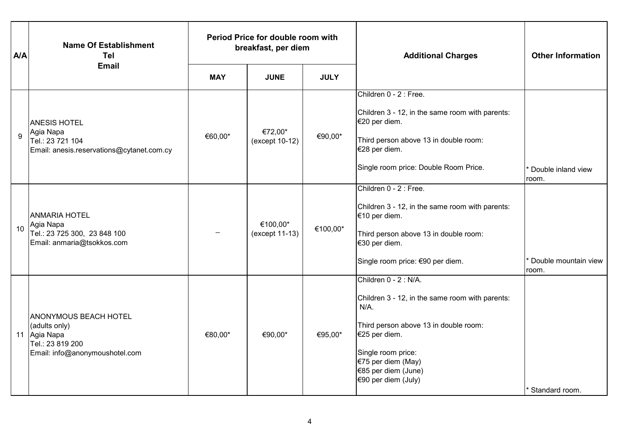| <b>A/A</b> | <b>Name Of Establishment</b><br><b>Tel</b>                                                                          | Period Price for double room with<br>breakfast, per diem |                            |             | <b>Additional Charges</b>                                                                                                                                                                                                               | <b>Other Information</b>                   |
|------------|---------------------------------------------------------------------------------------------------------------------|----------------------------------------------------------|----------------------------|-------------|-----------------------------------------------------------------------------------------------------------------------------------------------------------------------------------------------------------------------------------------|--------------------------------------------|
|            | <b>Email</b>                                                                                                        | <b>MAY</b>                                               | <b>JUNE</b>                | <b>JULY</b> |                                                                                                                                                                                                                                         |                                            |
| 9          | <b>ANESIS HOTEL</b><br>Agia Napa<br>Tel.: 23 721 104<br>Email: anesis.reservations@cytanet.com.cy                   | €60,00*                                                  | €72,00*<br>(except 10-12)  | €90,00*     | Children 0 - 2 : Free.<br>Children 3 - 12, in the same room with parents:<br>€20 per diem.<br>Third person above 13 in double room:<br>€28 per diem.<br>Single room price: Double Room Price.                                           | Double inland view<br>room.                |
| 10         | <b>ANMARIA HOTEL</b><br>Agia Napa<br>Tel.: 23 725 300, 23 848 100<br>Email: anmaria@tsokkos.com                     |                                                          | €100,00*<br>(except 11-13) | €100,00*    | Children 0 - 2 : Free.<br>Children 3 - 12, in the same room with parents:<br>€10 per diem.<br>Third person above 13 in double room:<br>€30 per diem.<br>Single room price: €90 per diem.                                                | <sup>*</sup> Double mountain view<br>room. |
|            | <b>ANONYMOUS BEACH HOTEL</b><br>(adults only)<br>11 Agia Napa<br>Tel.: 23 819 200<br>Email: info@anonymoushotel.com | €80,00*                                                  | €90,00*                    | €95,00*     | Children 0 - 2 : N/A.<br>Children 3 - 12, in the same room with parents:<br>$N/A$ .<br>Third person above 13 in double room:<br>€25 per diem.<br>Single room price:<br>€75 per diem (May)<br>€85 per diem (June)<br>€90 per diem (July) | * Standard room.                           |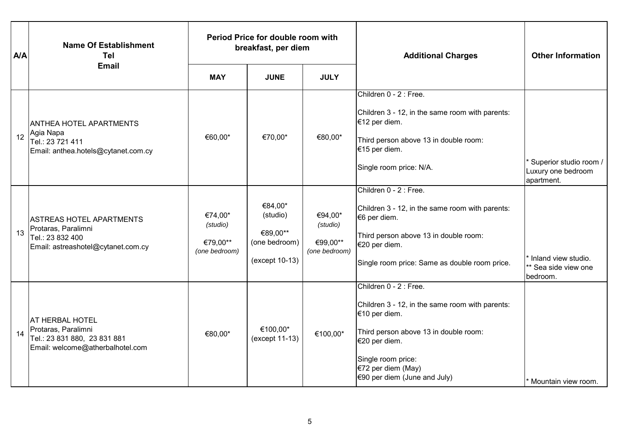| <b>A/A</b> | <b>Name Of Establishment</b><br>Tel                                                                               | Period Price for double room with<br>breakfast, per diem |                                                                    |                                                  | <b>Additional Charges</b>                                                                                                                                                                                                          | <b>Other Information</b>                                             |
|------------|-------------------------------------------------------------------------------------------------------------------|----------------------------------------------------------|--------------------------------------------------------------------|--------------------------------------------------|------------------------------------------------------------------------------------------------------------------------------------------------------------------------------------------------------------------------------------|----------------------------------------------------------------------|
|            | <b>Email</b>                                                                                                      | <b>MAY</b>                                               | <b>JUNE</b>                                                        | <b>JULY</b>                                      |                                                                                                                                                                                                                                    |                                                                      |
| 12         | <b>ANTHEA HOTEL APARTMENTS</b><br>Agia Napa<br>Tel.: 23 721 411<br>Email: anthea.hotels@cytanet.com.cy            | €60,00*                                                  | €70,00*                                                            | €80,00*                                          | Children 0 - 2 : Free.<br>Children 3 - 12, in the same room with parents:<br>€12 per diem.<br>Third person above 13 in double room:<br>€15 per diem.<br>Single room price: N/A.                                                    | Superior studio room /<br>Luxury one bedroom<br>apartment.           |
| 13         | ASTREAS HOTEL APARTMENTS<br>Protaras, Paralimni<br>Tel.: 23 832 400<br>Email: astreashotel@cytanet.com.cy         | €74,00*<br>(studio)<br>€79.00**<br>(one bedroom)         | €84,00*<br>(studio)<br>€89,00**<br>(one bedroom)<br>(except 10-13) | €94,00*<br>(studio)<br>€99,00**<br>(one bedroom) | Children 0 - 2 : Free.<br>Children 3 - 12, in the same room with parents:<br>€6 per diem.<br>Third person above 13 in double room:<br>€20 per diem.<br>Single room price: Same as double room price.                               | <sup>*</sup> Inland view studio.<br>** Sea side view one<br>bedroom. |
| 14         | <b>AT HERBAL HOTEL</b><br>Protaras, Paralimni<br>Tel.: 23 831 880, 23 831 881<br>Email: welcome@atherbalhotel.com | €80,00*                                                  | €100,00*<br>(except 11-13)                                         | €100,00*                                         | Children 0 - 2 : Free.<br>Children 3 - 12, in the same room with parents:<br>€10 per diem.<br>Third person above 13 in double room:<br>€20 per diem.<br>Single room price:<br>€72 per diem (May)<br>$€90$ per diem (June and July) | * Mountain view room.                                                |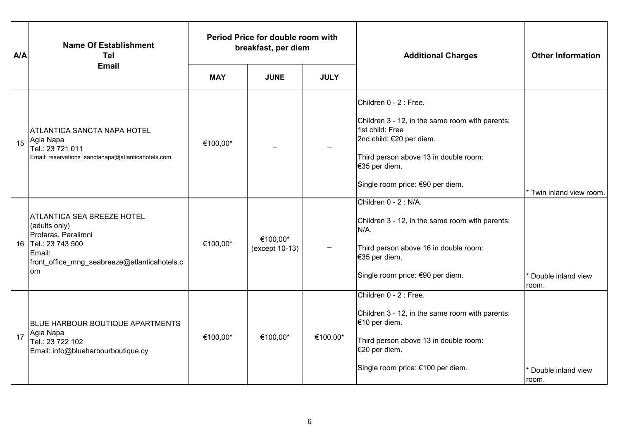| <b>A/A</b> | <b>Name Of Establishment</b><br>Tel                                                                                                                              | Period Price for double room with<br>breakfast, per diem |                            |             | <b>Additional Charges</b>                                                                                                                                                                                              | <b>Other Information</b>    |
|------------|------------------------------------------------------------------------------------------------------------------------------------------------------------------|----------------------------------------------------------|----------------------------|-------------|------------------------------------------------------------------------------------------------------------------------------------------------------------------------------------------------------------------------|-----------------------------|
|            | <b>Email</b>                                                                                                                                                     | <b>MAY</b>                                               | <b>JUNE</b>                | <b>JULY</b> |                                                                                                                                                                                                                        |                             |
| 15         | ATLANTICA SANCTA NAPA HOTEL<br>Agia Napa<br>Tel.: 23 721 011<br>Email: reservations_sanctanapa@atlanticahotels.com                                               | €100,00*                                                 |                            |             | Children 0 - 2 : Free.<br>Children 3 - 12, in the same room with parents:<br>1st child: Free<br>2nd child: €20 per diem.<br>Third person above 13 in double room:<br>€35 per diem.<br>Single room price: €90 per diem. | Twin inland view room.      |
|            | <b>ATLANTICA SEA BREEZE HOTEL</b><br>(adults only)<br>Protaras, Paralimni<br>16 Tel.: 23 743 500<br>Email:<br>front_office_mng_seabreeze@atlanticahotels.c<br>om | €100,00*                                                 | €100,00*<br>(except 10-13) |             | Children 0 - 2 : N/A.<br>Children 3 - 12, in the same room with parents:<br>N/A.<br>Third person above 16 in double room:<br>€35 per diem.<br>Single room price: €90 per diem.                                         | Double inland view<br>room. |
| 17         | <b>BLUE HARBOUR BOUTIQUE APARTMENTS</b><br>Agia Napa<br>Tel.: 23 722 102<br>Email: info@blueharbourboutique.cy                                                   | €100,00*                                                 | €100,00*                   | €100,00*    | Children 0 - 2 : Free.<br>Children 3 - 12, in the same room with parents:<br>€10 per diem.<br>Third person above 13 in double room:<br>€20 per diem.<br>Single room price: €100 per diem.                              | Double inland view<br>room. |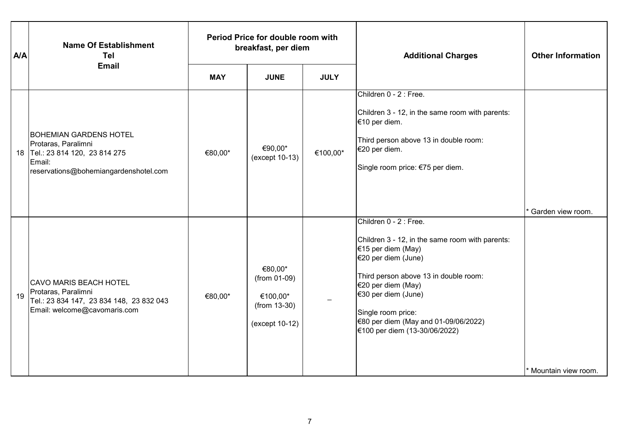| <b>A/A</b> | <b>Name Of Establishment</b><br>Tel                                                                                                        | Period Price for double room with<br>breakfast, per diem |                                                                       |             | <b>Additional Charges</b>                                                                                                                                                                                                                                                                                   | <b>Other Information</b> |
|------------|--------------------------------------------------------------------------------------------------------------------------------------------|----------------------------------------------------------|-----------------------------------------------------------------------|-------------|-------------------------------------------------------------------------------------------------------------------------------------------------------------------------------------------------------------------------------------------------------------------------------------------------------------|--------------------------|
|            | <b>Email</b>                                                                                                                               | <b>MAY</b>                                               | <b>JUNE</b>                                                           | <b>JULY</b> |                                                                                                                                                                                                                                                                                                             |                          |
|            | <b>BOHEMIAN GARDENS HOTEL</b><br>Protaras, Paralimni<br>18 Tel.: 23 814 120, 23 814 275<br>Email:<br>reservations@bohemiangardenshotel.com | €80,00*                                                  | €90,00*<br>(except 10-13)                                             | €100,00*    | Children 0 - 2 : Free.<br>Children 3 - 12, in the same room with parents:<br>€10 per diem.<br>Third person above 13 in double room:<br>€20 per diem.<br>Single room price: €75 per diem.                                                                                                                    | Garden view room.        |
| 19         | CAVO MARIS BEACH HOTEL<br>Protaras, Paralimni<br>Tel.: 23 834 147, 23 834 148, 23 832 043<br>Email: welcome@cavomaris.com                  | €80,00*                                                  | €80,00*<br>(from 01-09)<br>€100,00*<br>(from 13-30)<br>(except 10-12) |             | Children 0 - 2 : Free.<br>Children 3 - 12, in the same room with parents:<br>€15 per diem (May)<br>€20 per diem (June)<br>Third person above 13 in double room:<br>€20 per diem (May)<br>€30 per diem (June)<br>Single room price:<br>€80 per diem (May and 01-09/06/2022)<br>€100 per diem (13-30/06/2022) | * Mountain view room.    |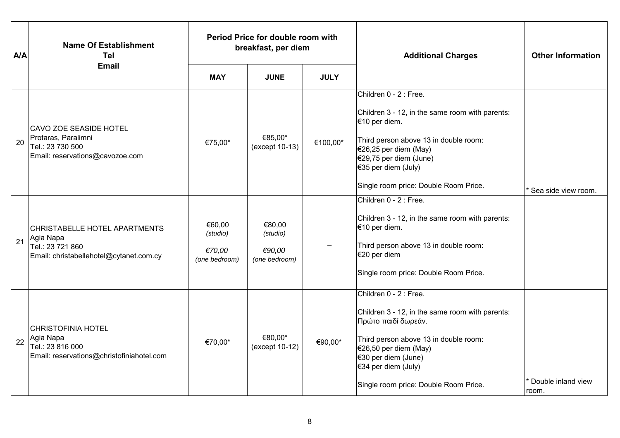| <b>A/A</b> | <b>Name Of Establishment</b><br><b>Tel</b>                                                                | Period Price for double room with<br>breakfast, per diem |                                               |             | <b>Additional Charges</b>                                                                                                                                                                                                                                 | <b>Other Information</b>    |
|------------|-----------------------------------------------------------------------------------------------------------|----------------------------------------------------------|-----------------------------------------------|-------------|-----------------------------------------------------------------------------------------------------------------------------------------------------------------------------------------------------------------------------------------------------------|-----------------------------|
|            | <b>Email</b>                                                                                              | <b>MAY</b>                                               | <b>JUNE</b>                                   | <b>JULY</b> |                                                                                                                                                                                                                                                           |                             |
| 20         | CAVO ZOE SEASIDE HOTEL<br>Protaras, Paralimni<br>Tel.: 23 730 500<br>Email: reservations@cavozoe.com      | €75,00*                                                  | €85,00*<br>(except 10-13)                     | €100,00*    | Children 0 - 2 : Free.<br>Children 3 - 12, in the same room with parents:<br>€10 per diem.<br>Third person above 13 in double room:<br>€26,25 per diem (May)<br>€29,75 per diem (June)<br>€35 per diem (July)<br>Single room price: Double Room Price.    | Sea side view room.         |
| 21         | CHRISTABELLE HOTEL APARTMENTS<br>Agia Napa<br>Tel.: 23 721 860<br>Email: christabellehotel@cytanet.com.cy | €60,00<br>(studio)<br>€70,00<br>(one bedroom)            | €80,00<br>(studio)<br>€90,00<br>(one bedroom) |             | Children 0 - 2 : Free.<br>Children 3 - 12, in the same room with parents:<br>€10 per diem.<br>Third person above 13 in double room:<br>€20 per diem<br>Single room price: Double Room Price.                                                              |                             |
| 22         | <b>CHRISTOFINIA HOTEL</b><br>Agia Napa<br>Tel.: 23 816 000<br>Email: reservations@christofiniahotel.com   | €70,00*                                                  | €80,00*<br>(except 10-12)                     | €90,00*     | Children 0 - 2 : Free.<br>Children 3 - 12, in the same room with parents:<br>Πρώτο παιδί δωρεάν.<br>Third person above 13 in double room:<br>€26,50 per diem (May)<br>€30 per diem (June)<br>€34 per diem (July)<br>Single room price: Double Room Price. | Double inland view<br>room. |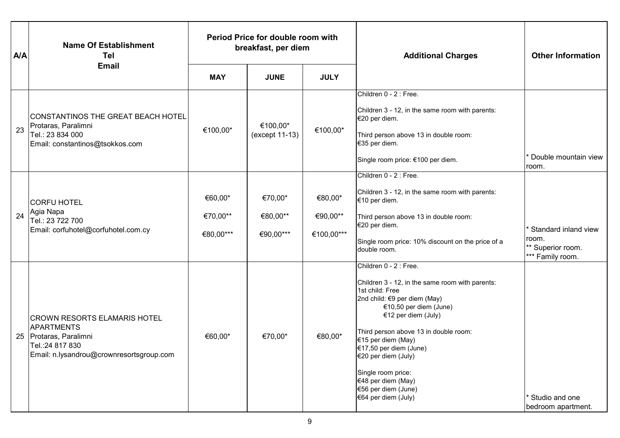| <b>A/A</b> | <b>Name Of Establishment</b><br>Tel                                                                                                     | Period Price for double room with<br>breakfast, per diem |                                  |                                   | <b>Additional Charges</b>                                                                                                                                                                                                                                                                                                                                                               | <b>Other Information</b>                                               |
|------------|-----------------------------------------------------------------------------------------------------------------------------------------|----------------------------------------------------------|----------------------------------|-----------------------------------|-----------------------------------------------------------------------------------------------------------------------------------------------------------------------------------------------------------------------------------------------------------------------------------------------------------------------------------------------------------------------------------------|------------------------------------------------------------------------|
|            | <b>Email</b>                                                                                                                            | <b>MAY</b>                                               | <b>JUNE</b>                      | <b>JULY</b>                       |                                                                                                                                                                                                                                                                                                                                                                                         |                                                                        |
| 23         | CONSTANTINOS THE GREAT BEACH HOTEL<br>Protaras, Paralimni<br>Tel.: 23 834 000<br>Email: constantinos@tsokkos.com                        | €100,00*                                                 | €100,00*<br>(except 11-13)       | €100,00*                          | Children 0 - 2 : Free.<br>Children 3 - 12, in the same room with parents:<br>€20 per diem.<br>Third person above 13 in double room:<br>€35 per diem.<br>Single room price: €100 per diem.                                                                                                                                                                                               | <sup>*</sup> Double mountain view<br>room.                             |
| 24         | <b>CORFU HOTEL</b><br>Agia Napa<br>Tel.: 23 722 700<br>Email: corfuhotel@corfuhotel.com.cy                                              | €60,00*<br>€70,00**<br>€80,00***                         | €70,00*<br>€80,00**<br>€90,00*** | €80,00*<br>€90,00**<br>€100,00*** | Children 0 - 2 : Free.<br>Children 3 - 12, in the same room with parents:<br>€10 per diem.<br>Third person above 13 in double room:<br>€20 per diem.<br>Single room price: 10% discount on the price of a<br>double room.                                                                                                                                                               | Standard inland view<br>room.<br>** Superior room.<br>*** Family room. |
| 25         | <b>CROWN RESORTS ELAMARIS HOTEL</b><br>APARTMENTS<br>Protaras, Paralimni<br>Tel.:24 817 830<br>Email: n.lysandrou@crownresortsgroup.com | €60,00*                                                  | €70,00*                          | €80,00*                           | Children 0 - 2 : Free.<br>Children 3 - 12, in the same room with parents:<br>1st child: Free<br>2nd child: €9 per diem (May)<br>€10,50 per diem (June)<br>€12 per diem (July)<br>Third person above 13 in double room:<br>€15 per diem (May)<br>€17,50 per diem (June)<br>€20 per diem (July)<br>Single room price:<br>€48 per diem (May)<br>€56 per diem (June)<br>€64 per diem (July) | * Studio and one<br>bedroom apartment.                                 |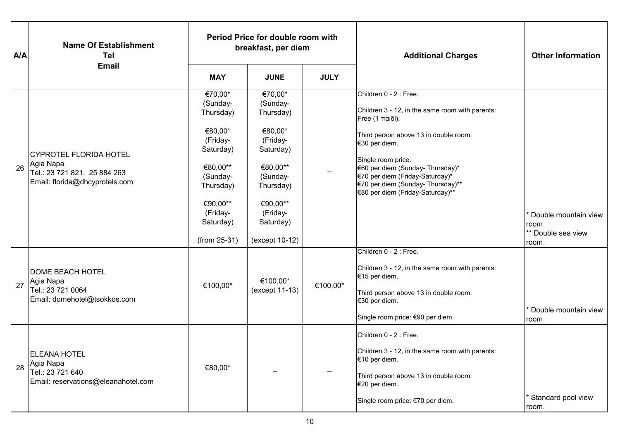| <b>A/A</b> | <b>Name Of Establishment</b><br><b>Tel</b>                                                            | Period Price for double room with<br>breakfast, per diem                                                                                                       |                                                                                                                                                                  |             | <b>Additional Charges</b>                                                                                                                                                                                                                                                                                                    | <b>Other Information</b>                                     |
|------------|-------------------------------------------------------------------------------------------------------|----------------------------------------------------------------------------------------------------------------------------------------------------------------|------------------------------------------------------------------------------------------------------------------------------------------------------------------|-------------|------------------------------------------------------------------------------------------------------------------------------------------------------------------------------------------------------------------------------------------------------------------------------------------------------------------------------|--------------------------------------------------------------|
|            | <b>Email</b>                                                                                          | <b>MAY</b>                                                                                                                                                     | <b>JUNE</b>                                                                                                                                                      | <b>JULY</b> |                                                                                                                                                                                                                                                                                                                              |                                                              |
| 26         | CYPROTEL FLORIDA HOTEL<br>Agia Napa<br>Tel.: 23 721 821, 25 884 263<br>Email: florida@dhcyprotels.com | €70,00*<br>(Sunday-<br>Thursday)<br>€80,00*<br>(Friday-<br>Saturday)<br>€80,00**<br>(Sunday-<br>Thursday)<br>€90,00**<br>(Friday-<br>Saturday)<br>(from 25-31) | €70,00*<br>(Sunday-<br>Thursday)<br>€80,00*<br>(Friday-<br>Saturday)<br>€80,00**<br>(Sunday-<br>Thursday)<br>€90,00**<br>(Friday-<br>Saturday)<br>(except 10-12) |             | Children 0 - 2 : Free.<br>Children 3 - 12, in the same room with parents:<br>Free (1 παιδί).<br>Third person above 13 in double room:<br>€30 per diem.<br>Single room price:<br>€60 per diem (Sunday- Thursday)*<br>€70 per diem (Friday-Saturday)*<br>€70 per diem (Sunday- Thursday)**<br>€80 per diem (Friday-Saturday)** | Double mountain view<br>room.<br>** Double sea view<br>room. |
| 27         | <b>DOME BEACH HOTEL</b><br>Agia Napa<br>Tel.: 23 721 0064<br>Email: domehotel@tsokkos.com             | €100,00*                                                                                                                                                       | €100,00*<br>(except 11-13)                                                                                                                                       | €100,00*    | Children 0 - 2 : Free.<br>Children 3 - 12, in the same room with parents:<br>€15 per diem.<br>Third person above 13 in double room:<br>€30 per diem.<br>Single room price: €90 per diem.<br>Children 0 - 2 : Free.                                                                                                           | Double mountain view<br>room.                                |
| 28         | <b>ELEANA HOTEL</b><br>Agia Napa<br>Tel.: 23 721 640<br>Email: reservations@eleanahotel.com           | €80,00*                                                                                                                                                        |                                                                                                                                                                  |             | Children 3 - 12, in the same room with parents:<br>€10 per diem.<br>Third person above 13 in double room:<br>€20 per diem.<br>Single room price: €70 per diem.                                                                                                                                                               | <b>Standard pool view</b><br>room.                           |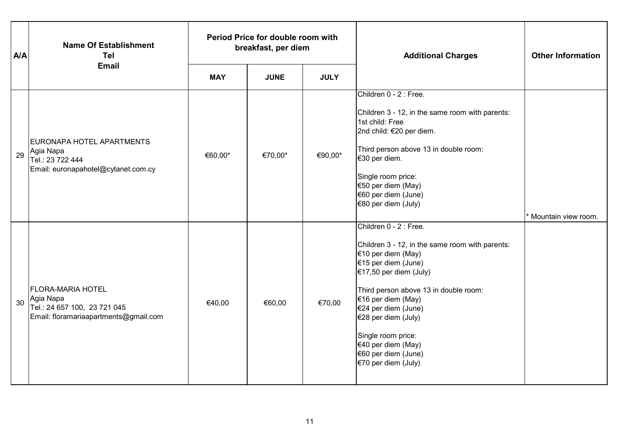| <b>A/A</b> | <b>Name Of Establishment</b><br><b>Tel</b>                                                                     | Period Price for double room with<br>breakfast, per diem |             |             | <b>Additional Charges</b>                                                                                                                                                                                                                                                                                                                               | <b>Other Information</b> |
|------------|----------------------------------------------------------------------------------------------------------------|----------------------------------------------------------|-------------|-------------|---------------------------------------------------------------------------------------------------------------------------------------------------------------------------------------------------------------------------------------------------------------------------------------------------------------------------------------------------------|--------------------------|
|            | <b>Email</b>                                                                                                   | <b>MAY</b>                                               | <b>JUNE</b> | <b>JULY</b> |                                                                                                                                                                                                                                                                                                                                                         |                          |
| 29         | EURONAPA HOTEL APARTMENTS<br>Agia Napa<br>Tel.: 23 722 444<br>Email: euronapahotel@cytanet.com.cy              | €60,00*                                                  | €70,00*     | €90,00*     | Children 0 - 2 : Free.<br>Children 3 - 12, in the same room with parents:<br>1st child: Free<br>2nd child: €20 per diem.<br>Third person above 13 in double room:<br>€30 per diem.<br>Single room price:<br>€50 per diem (May)<br>€60 per diem (June)<br>€80 per diem (July)                                                                            | * Mountain view room.    |
| 30         | <b>FLORA-MARIA HOTEL</b><br>Agia Napa<br>Tel.: 24 657 100, 23 721 045<br>Email: floramariaapartments@gmail.com | €40,00                                                   | €60,00      | €70,00      | Children 0 - 2 : Free.<br>Children 3 - 12, in the same room with parents:<br>€10 per diem (May)<br>€15 per diem (June)<br>€17,50 per diem (July)<br>Third person above 13 in double room:<br>€16 per diem (May)<br>€24 per diem (June)<br>€28 per diem (July)<br>Single room price:<br>€40 per diem (May)<br>€60 per diem (June)<br>€70 per diem (July) |                          |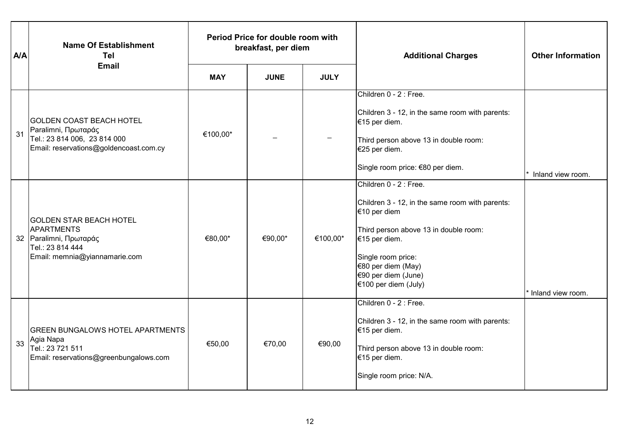| <b>A/A</b> | <b>Name Of Establishment</b><br><b>Tel</b>                                                                                         | Period Price for double room with<br>breakfast, per diem |             |             | <b>Additional Charges</b>                                                                                                                                                                                                                      | <b>Other Information</b> |
|------------|------------------------------------------------------------------------------------------------------------------------------------|----------------------------------------------------------|-------------|-------------|------------------------------------------------------------------------------------------------------------------------------------------------------------------------------------------------------------------------------------------------|--------------------------|
|            | <b>Email</b>                                                                                                                       | <b>MAY</b>                                               | <b>JUNE</b> | <b>JULY</b> |                                                                                                                                                                                                                                                |                          |
| 31         | <b>GOLDEN COAST BEACH HOTEL</b><br>Paralimni, Πρωταράς<br>Tel.: 23 814 006, 23 814 000<br>Email: reservations@goldencoast.com.cy   | €100,00*                                                 |             |             | Children 0 - 2 : Free.<br>Children 3 - 12, in the same room with parents:<br>€15 per diem.<br>Third person above 13 in double room:<br>€25 per diem.<br>Single room price: €80 per diem.                                                       | Inland view room.        |
|            | <b>GOLDEN STAR BEACH HOTEL</b><br><b>APARTMENTS</b><br>32 Paralimni, Πρωταράς<br>Tel.: 23 814 444<br>Email: memnia@yiannamarie.com | €80,00*                                                  | €90,00*     | €100,00*    | Children 0 - 2 : Free.<br>Children 3 - 12, in the same room with parents:<br>€10 per diem<br>Third person above 13 in double room:<br>€15 per diem.<br>Single room price:<br>€80 per diem (May)<br>€90 per diem (June)<br>€100 per diem (July) | Inland view room.        |
| 33         | <b>GREEN BUNGALOWS HOTEL APARTMENTS</b><br>Agia Napa<br>Tel.: 23 721 511<br>Email: reservations@greenbungalows.com                 | €50,00                                                   | €70,00      | €90,00      | Children 0 - 2 : Free.<br>Children 3 - 12, in the same room with parents:<br>€15 per diem.<br>Third person above 13 in double room:<br>€15 per diem.<br>Single room price: N/A.                                                                |                          |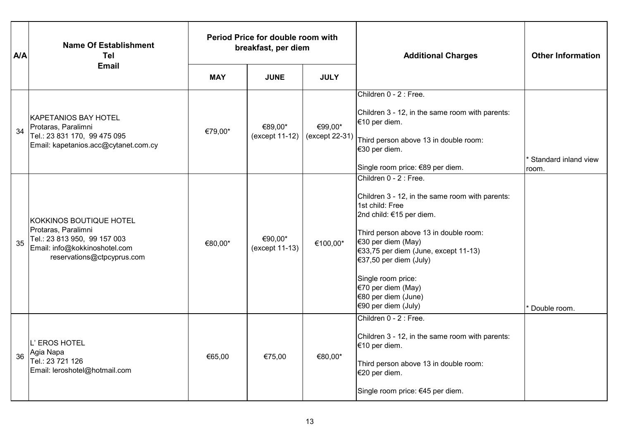| <b>A/A</b> | <b>Name Of Establishment</b><br><b>Tel</b>                                                                                                    |            | Period Price for double room with<br>breakfast, per diem |                           | <b>Additional Charges</b>                                                                                                                                                                                                                                                                                                                             | <b>Other Information</b>             |
|------------|-----------------------------------------------------------------------------------------------------------------------------------------------|------------|----------------------------------------------------------|---------------------------|-------------------------------------------------------------------------------------------------------------------------------------------------------------------------------------------------------------------------------------------------------------------------------------------------------------------------------------------------------|--------------------------------------|
|            | <b>Email</b>                                                                                                                                  | <b>MAY</b> | <b>JUNE</b>                                              | <b>JULY</b>               |                                                                                                                                                                                                                                                                                                                                                       |                                      |
| 34         | KAPETANIOS BAY HOTEL<br>Protaras, Paralimni<br>Tel.: 23 831 170, 99 475 095<br>Email: kapetanios.acc@cytanet.com.cy                           | €79,00*    | €89,00*<br>(except 11-12)                                | €99,00*<br>(except 22-31) | Children 0 - 2 : Free.<br>Children 3 - 12, in the same room with parents:<br>€10 per diem.<br>Third person above 13 in double room:<br>€30 per diem.<br>Single room price: €89 per diem.                                                                                                                                                              | <b>Standard inland view</b><br>room. |
| 35         | KOKKINOS BOUTIQUE HOTEL<br>Protaras, Paralimni<br>Tel.: 23 813 950, 99 157 003<br>Email: info@kokkinoshotel.com<br>reservations@ctpcyprus.com | €80,00*    | €90,00*<br>(except 11-13)                                | €100,00*                  | Children 0 - 2 : Free.<br>Children 3 - 12, in the same room with parents:<br>1st child: Free<br>2nd child: €15 per diem.<br>Third person above 13 in double room:<br>€30 per diem (May)<br>$€33,75$ per diem (June, except 11-13)<br>€37,50 per diem (July)<br>Single room price:<br>€70 per diem (May)<br>€80 per diem (June)<br>€90 per diem (July) | Double room.                         |
| 36         | L' EROS HOTEL<br>Agia Napa<br>Tel.: 23 721 126<br>Email: leroshotel@hotmail.com                                                               | €65,00     | €75,00                                                   | €80,00*                   | Children 0 - 2 : Free.<br>Children 3 - 12, in the same room with parents:<br>€10 per diem.<br>Third person above 13 in double room:<br>€20 per diem.<br>Single room price: €45 per diem.                                                                                                                                                              |                                      |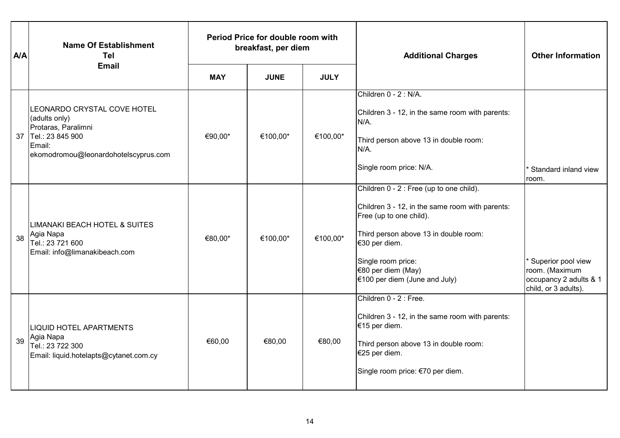| <b>A/A</b> | <b>Name Of Establishment</b><br><b>Tel</b>                                                                                                | Period Price for double room with<br>breakfast, per diem |             |             | <b>Additional Charges</b>                                                                                                                                                                                                                                       | <b>Other Information</b>                                                               |
|------------|-------------------------------------------------------------------------------------------------------------------------------------------|----------------------------------------------------------|-------------|-------------|-----------------------------------------------------------------------------------------------------------------------------------------------------------------------------------------------------------------------------------------------------------------|----------------------------------------------------------------------------------------|
|            | <b>Email</b>                                                                                                                              | <b>MAY</b>                                               | <b>JUNE</b> | <b>JULY</b> |                                                                                                                                                                                                                                                                 |                                                                                        |
| 37         | LEONARDO CRYSTAL COVE HOTEL<br>(adults only)<br>Protaras, Paralimni<br>Tel.: 23 845 900<br>Email:<br>ekomodromou@leonardohotelscyprus.com | €90,00*                                                  | €100,00*    | €100,00*    | Children 0 - 2 : N/A.<br>Children 3 - 12, in the same room with parents:<br>N/A.<br>Third person above 13 in double room:<br>N/A.<br>Single room price: N/A.                                                                                                    | * Standard inland view<br>room.                                                        |
| 38         | LIMANAKI BEACH HOTEL & SUITES<br>Agia Napa<br>Tel.: 23 721 600<br>Email: info@limanakibeach.com                                           | €80,00*                                                  | €100,00*    | €100,00*    | Children 0 - 2 : Free (up to one child).<br>Children 3 - 12, in the same room with parents:<br>Free (up to one child).<br>Third person above 13 in double room:<br>€30 per diem.<br>Single room price:<br>€80 per diem (May)<br>$€100$ per diem (June and July) | Superior pool view<br>room. (Maximum<br>occupancy 2 adults & 1<br>child, or 3 adults). |
| 39         | <b>LIQUID HOTEL APARTMENTS</b><br>Agia Napa<br>Tel.: 23 722 300<br>Email: liquid.hotelapts@cytanet.com.cy                                 | €60,00                                                   | €80,00      | €80,00      | Children 0 - 2 : Free.<br>Children 3 - 12, in the same room with parents:<br>€15 per diem.<br>Third person above 13 in double room:<br>€25 per diem.<br>Single room price: €70 per diem.                                                                        |                                                                                        |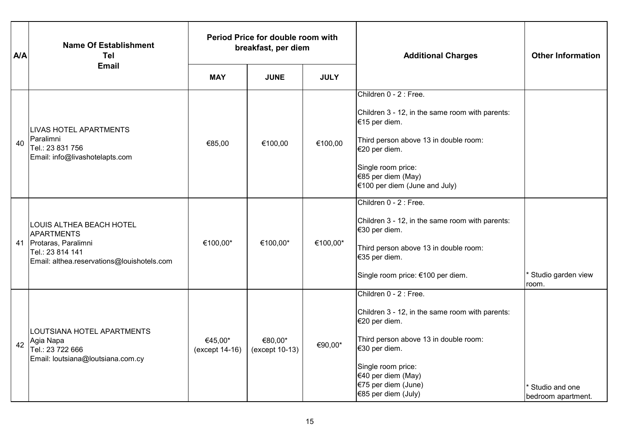| <b>A/A</b> | <b>Name Of Establishment</b><br><b>Tel</b>                                                                                                | Period Price for double room with<br>breakfast, per diem |                           |             | <b>Additional Charges</b>                                                                                                                                                                                                                      | <b>Other Information</b>             |
|------------|-------------------------------------------------------------------------------------------------------------------------------------------|----------------------------------------------------------|---------------------------|-------------|------------------------------------------------------------------------------------------------------------------------------------------------------------------------------------------------------------------------------------------------|--------------------------------------|
|            | <b>Email</b>                                                                                                                              | <b>MAY</b>                                               | <b>JUNE</b>               | <b>JULY</b> |                                                                                                                                                                                                                                                |                                      |
| 40         | <b>LIVAS HOTEL APARTMENTS</b><br>Paralimni<br>Tel.: 23 831 756<br>Email: info@livashotelapts.com                                          | €85,00                                                   | €100,00                   | €100,00     | Children 0 - 2 : Free.<br>Children 3 - 12, in the same room with parents:<br>€15 per diem.<br>Third person above 13 in double room:<br>€20 per diem.<br>Single room price:<br>€85 per diem (May)<br>€100 per diem (June and July)              |                                      |
|            | LOUIS ALTHEA BEACH HOTEL<br><b>APARTMENTS</b><br>41 Protaras, Paralimni<br>Tel.: 23 814 141<br>Email: althea.reservations@louishotels.com | €100,00*                                                 | €100,00*                  | €100,00*    | Children 0 - 2 : Free.<br>Children 3 - 12, in the same room with parents:<br>€30 per diem.<br>Third person above 13 in double room:<br>€35 per diem.<br>Single room price: €100 per diem.                                                      | Studio garden view<br>room.          |
| 42         | LOUTSIANA HOTEL APARTMENTS<br>Agia Napa<br>Tel.: 23 722 666<br>Email: loutsiana@loutsiana.com.cy                                          | €45,00*<br>(except 14-16)                                | €80,00*<br>(except 10-13) | €90,00*     | Children 0 - 2 : Free.<br>Children 3 - 12, in the same room with parents:<br>€20 per diem.<br>Third person above 13 in double room:<br>€30 per diem.<br>Single room price:<br>€40 per diem (May)<br>€75 per diem (June)<br>€85 per diem (July) | Studio and one<br>bedroom apartment. |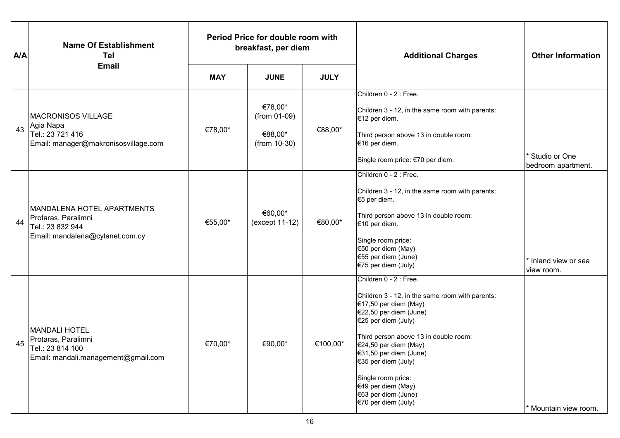| <b>A/A</b> | <b>Name Of Establishment</b><br>Tel<br><b>Email</b>                                                             | Period Price for double room with<br>breakfast, per diem |                                                      |             | <b>Additional Charges</b>                                                                                                                                                                                                                                                                                                                                        | <b>Other Information</b>                         |
|------------|-----------------------------------------------------------------------------------------------------------------|----------------------------------------------------------|------------------------------------------------------|-------------|------------------------------------------------------------------------------------------------------------------------------------------------------------------------------------------------------------------------------------------------------------------------------------------------------------------------------------------------------------------|--------------------------------------------------|
|            |                                                                                                                 | <b>MAY</b>                                               | <b>JUNE</b>                                          | <b>JULY</b> |                                                                                                                                                                                                                                                                                                                                                                  |                                                  |
| 43         | <b>MACRONISOS VILLAGE</b><br>Agia Napa<br>Tel.: 23 721 416<br>Email: manager@makronisosvillage.com              | €78,00*                                                  | €78,00*<br>(from 01-09)<br>€88,00*<br>$(from 10-30)$ | €88,00*     | Children 0 - 2 : Free.<br>Children 3 - 12, in the same room with parents:<br>€12 per diem.<br>Third person above 13 in double room:<br>€16 per diem.<br>Single room price: €70 per diem.                                                                                                                                                                         | <sup>*</sup> Studio or One<br>bedroom apartment. |
| 44         | <b>MANDALENA HOTEL APARTMENTS</b><br>Protaras, Paralimni<br>Tel.: 23 832 944<br>Email: mandalena@cytanet.com.cy | €55,00*                                                  | €60,00*<br>(except 11-12)                            | €80,00*     | Children 0 - 2 : Free.<br>Children 3 - 12, in the same room with parents:<br>€5 per diem.<br>Third person above 13 in double room:<br>€10 per diem.<br>Single room price:<br>€50 per diem (May)<br>€55 per diem (June)<br>€75 per diem (July)                                                                                                                    | Inland view or sea<br>view room.                 |
| 45         | <b>MANDALI HOTEL</b><br>Protaras, Paralimni<br>Tel.: 23 814 100<br>Email: mandali.management@gmail.com          | €70,00*                                                  | €90,00*                                              | €100,00*    | Children 0 - 2 : Free.<br>Children 3 - 12, in the same room with parents:<br>€17,50 per diem (May)<br>€22,50 per diem (June)<br>€25 per diem (July)<br>Third person above 13 in double room:<br>€24,50 per diem (May)<br>€31,50 per diem (June)<br>€35 per diem (July)<br>Single room price:<br>€49 per diem (May)<br>€63 per diem (June)<br>€70 per diem (July) | Mountain view room.                              |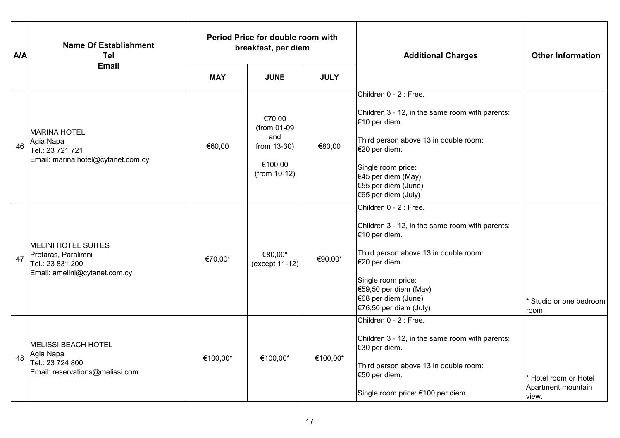| <b>A/A</b> | <b>Name Of Establishment</b><br>Tel                                                                    | Period Price for double room with<br>breakfast, per diem |                                                                          |             | <b>Additional Charges</b>                                                                                                                                                                                                                              | <b>Other Information</b>                             |
|------------|--------------------------------------------------------------------------------------------------------|----------------------------------------------------------|--------------------------------------------------------------------------|-------------|--------------------------------------------------------------------------------------------------------------------------------------------------------------------------------------------------------------------------------------------------------|------------------------------------------------------|
|            | <b>Email</b>                                                                                           | <b>MAY</b>                                               | <b>JUNE</b>                                                              | <b>JULY</b> |                                                                                                                                                                                                                                                        |                                                      |
| 46         | <b>MARINA HOTEL</b><br>Agia Napa<br>Tel.: 23 721 721<br>Email: marina.hotel@cytanet.com.cy             | €60,00                                                   | €70,00<br>(from 01-09<br>and<br>from 13-30)<br>€100,00<br>$(from 10-12)$ | €80,00      | Children 0 - 2 : Free.<br>Children 3 - 12, in the same room with parents:<br>€10 per diem.<br>Third person above 13 in double room:<br>€20 per diem.<br>Single room price:<br>€45 per diem (May)<br>€55 per diem (June)<br>€65 per diem (July)         |                                                      |
| 47         | <b>MELINI HOTEL SUITES</b><br>Protaras, Paralimni<br>Tel.: 23 831 200<br>Email: amelini@cytanet.com.cy | €70,00*                                                  | €80,00*<br>(except 11-12)                                                | €90,00*     | Children 0 - 2 : Free.<br>Children 3 - 12, in the same room with parents:<br>€10 per diem.<br>Third person above 13 in double room:<br>€20 per diem.<br>Single room price:<br>€59,50 per diem (May)<br>$€68$ per diem (June)<br>€76,50 per diem (July) | * Studio or one bedroom<br>room.                     |
| 48         | <b>MELISSI BEACH HOTEL</b><br>Agia Napa<br>Tel.: 23 724 800<br>Email: reservations@melissi.com         | €100,00*                                                 | €100,00*                                                                 | €100,00*    | Children 0 - 2 : Free.<br>Children 3 - 12, in the same room with parents:<br>€30 per diem.<br>Third person above 13 in double room:<br>€50 per diem.<br>Single room price: €100 per diem.                                                              | * Hotel room or Hotel<br>Apartment mountain<br>view. |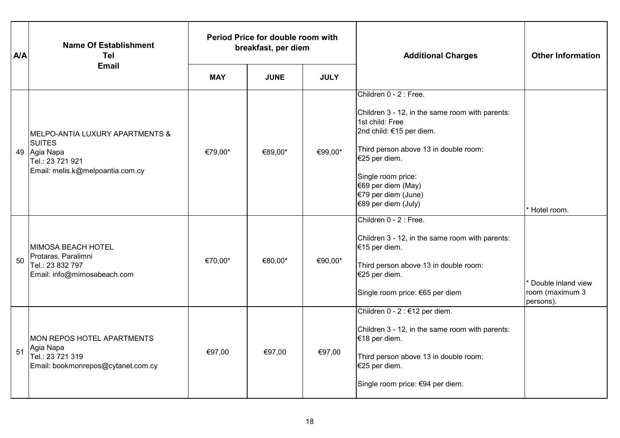| <b>A/A</b> | <b>Name Of Establishment</b><br><b>Tel</b>                                                                               | Period Price for double room with<br>breakfast, per diem |             |             | <b>Additional Charges</b>                                                                                                                                                                                                                                                    | <b>Other Information</b>                           |
|------------|--------------------------------------------------------------------------------------------------------------------------|----------------------------------------------------------|-------------|-------------|------------------------------------------------------------------------------------------------------------------------------------------------------------------------------------------------------------------------------------------------------------------------------|----------------------------------------------------|
|            | <b>Email</b>                                                                                                             | <b>MAY</b>                                               | <b>JUNE</b> | <b>JULY</b> |                                                                                                                                                                                                                                                                              |                                                    |
|            | MELPO-ANTIA LUXURY APARTMENTS &<br><b>SUITES</b><br>49 Agia Napa<br>Tel.: 23 721 921<br>Email: melis.k@melpoantia.com.cy | €79,00*                                                  | €89,00*     | €99,00*     | Children 0 - 2 : Free.<br>Children 3 - 12, in the same room with parents:<br>1st child: Free<br>2nd child: €15 per diem.<br>Third person above 13 in double room:<br>€25 per diem.<br>Single room price:<br>€69 per diem (May)<br>€79 per diem (June)<br>€89 per diem (July) | Hotel room.                                        |
| 50         | MIMOSA BEACH HOTEL<br>Protaras, Paralimni<br>Tel.: 23 832 797<br>Email: info@mimosabeach.com                             | €70,00*                                                  | €80,00*     | €90,00*     | Children 0 - 2 : Free.<br>Children 3 - 12, in the same room with parents:<br>€15 per diem.<br>Third person above 13 in double room:<br>€25 per diem.<br>Single room price: €65 per diem                                                                                      | Double inland view<br>room (maximum 3<br>persons). |
| 51         | MON REPOS HOTEL APARTMENTS<br>Agia Napa<br>Tel.: 23 721 319<br>Email: bookmonrepos@cytanet.com.cy                        | €97,00                                                   | €97,00      | €97,00      | Children 0 - 2 : €12 per diem.<br>Children 3 - 12, in the same room with parents:<br>€18 per diem.<br>Third person above 13 in double room:<br>€25 per diem.<br>Single room price: €94 per diem.                                                                             |                                                    |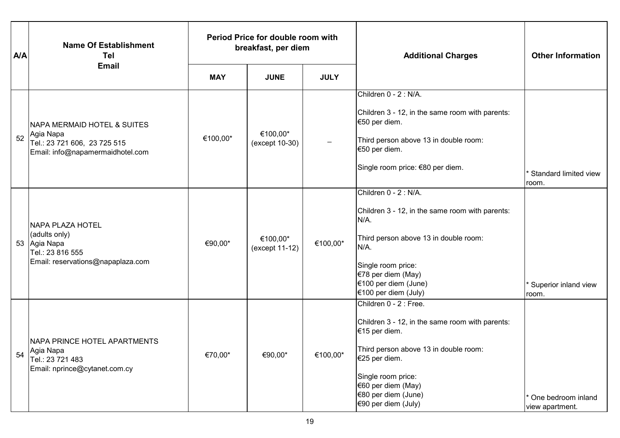| <b>A/A</b> | <b>Name Of Establishment</b><br>Tel                                                                               | Period Price for double room with<br>breakfast, per diem |                            |             | <b>Additional Charges</b>                                                                                                                                                                                                                      | <b>Other Information</b>                           |
|------------|-------------------------------------------------------------------------------------------------------------------|----------------------------------------------------------|----------------------------|-------------|------------------------------------------------------------------------------------------------------------------------------------------------------------------------------------------------------------------------------------------------|----------------------------------------------------|
|            | <b>Email</b>                                                                                                      | <b>MAY</b>                                               | <b>JUNE</b>                | <b>JULY</b> |                                                                                                                                                                                                                                                |                                                    |
| 52         | NAPA MERMAID HOTEL & SUITES<br>Agia Napa<br>Tel.: 23 721 606, 23 725 515<br>Email: info@napamermaidhotel.com      | €100,00*                                                 | €100,00*<br>(except 10-30) |             | Children 0 - 2 : N/A.<br>Children 3 - 12, in the same room with parents:<br>€50 per diem.<br>Third person above 13 in double room:<br>€50 per diem.<br>Single room price: €80 per diem.                                                        | <sup>*</sup> Standard limited view<br>room.        |
|            | <b>NAPA PLAZA HOTEL</b><br>(adults only)<br>53 Agia Napa<br>Tel.: 23 816 555<br>Email: reservations@napaplaza.com | €90,00*                                                  | €100,00*<br>(except 11-12) | €100,00*    | Children 0 - 2 : N/A.<br>Children 3 - 12, in the same room with parents:<br>$N/A$ .<br>Third person above 13 in double room:<br>N/A.<br>Single room price:<br>€78 per diem (May)<br>€100 per diem (June)<br>€100 per diem (July)               | Superior inland view<br>room.                      |
| 54         | NAPA PRINCE HOTEL APARTMENTS<br>Agia Napa<br>Tel.: 23 721 483<br>Email: nprince@cytanet.com.cy                    | €70,00*                                                  | €90,00*                    | €100,00*    | Children 0 - 2 : Free.<br>Children 3 - 12, in the same room with parents:<br>€15 per diem.<br>Third person above 13 in double room:<br>€25 per diem.<br>Single room price:<br>€60 per diem (May)<br>€80 per diem (June)<br>€90 per diem (July) | <sup>*</sup> One bedroom inland<br>view apartment. |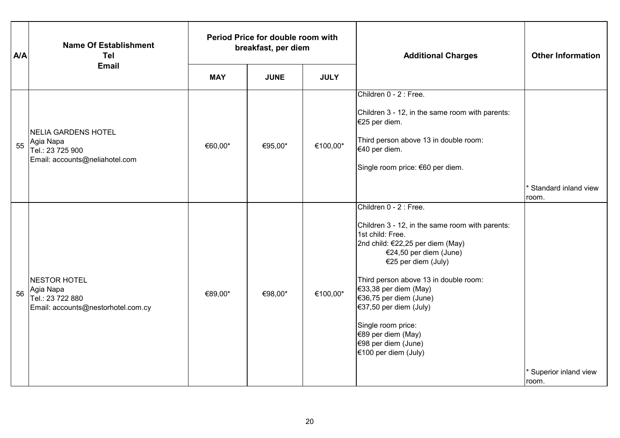| <b>A/A</b> | <b>Name Of Establishment</b><br><b>Tel</b>                                             | Period Price for double room with<br>breakfast, per diem |             |             | <b>Additional Charges</b>                                                                                                                                                                                                                                                                                                                                                                           | <b>Other Information</b>                   |
|------------|----------------------------------------------------------------------------------------|----------------------------------------------------------|-------------|-------------|-----------------------------------------------------------------------------------------------------------------------------------------------------------------------------------------------------------------------------------------------------------------------------------------------------------------------------------------------------------------------------------------------------|--------------------------------------------|
|            | <b>Email</b>                                                                           | <b>MAY</b>                                               | <b>JUNE</b> | <b>JULY</b> |                                                                                                                                                                                                                                                                                                                                                                                                     |                                            |
| 55         | NELIA GARDENS HOTEL<br>Agia Napa<br>Tel.: 23 725 900<br>Email: accounts@neliahotel.com | €60,00*                                                  | €95,00*     | €100,00*    | Children 0 - 2 : Free.<br>Children 3 - 12, in the same room with parents:<br>€25 per diem.<br>Third person above 13 in double room:<br>€40 per diem.<br>Single room price: €60 per diem.                                                                                                                                                                                                            |                                            |
| 56         | NESTOR HOTEL<br>Agia Napa<br>Tel.: 23 722 880<br>Email: accounts@nestorhotel.com.cy    | €89,00*                                                  | €98,00*     | €100,00*    | Children 0 - 2 : Free.<br>Children 3 - 12, in the same room with parents:<br>1st child: Free.<br>2nd child: €22,25 per diem (May)<br>€24,50 per diem (June)<br>€25 per diem (July)<br>Third person above 13 in double room:<br>€33,38 per diem (May)<br>€36,75 per diem (June)<br>€37,50 per diem (July)<br>Single room price:<br>€89 per diem (May)<br>€98 per diem (June)<br>€100 per diem (July) | * Standard inland view<br>room.            |
|            |                                                                                        |                                                          |             |             |                                                                                                                                                                                                                                                                                                                                                                                                     | <sup>*</sup> Superior inland view<br>room. |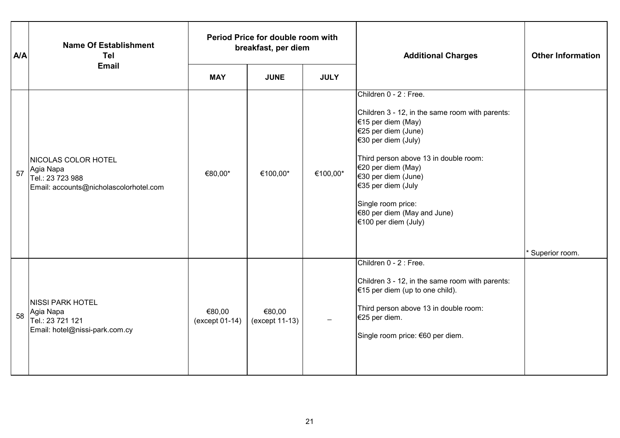| <b>A/A</b> | <b>Name Of Establishment</b><br><b>Tel</b>                                                     | Period Price for double room with<br>breakfast, per diem |                          |             | <b>Additional Charges</b>                                                                                                                                                                                                                                                                                                                | <b>Other Information</b>    |
|------------|------------------------------------------------------------------------------------------------|----------------------------------------------------------|--------------------------|-------------|------------------------------------------------------------------------------------------------------------------------------------------------------------------------------------------------------------------------------------------------------------------------------------------------------------------------------------------|-----------------------------|
|            | <b>Email</b>                                                                                   | <b>MAY</b>                                               | <b>JUNE</b>              | <b>JULY</b> |                                                                                                                                                                                                                                                                                                                                          |                             |
| 57         | NICOLAS COLOR HOTEL<br>Agia Napa<br>Tel.: 23 723 988<br>Email: accounts@nicholascolorhotel.com | €80,00*                                                  | €100,00*                 | €100,00*    | Children 0 - 2 : Free.<br>Children 3 - 12, in the same room with parents:<br>€15 per diem (May)<br>€25 per diem (June)<br>€30 per diem (July)<br>Third person above 13 in double room:<br>€20 per diem (May)<br>€30 per diem (June)<br>€35 per diem (July<br>Single room price:<br>$€80$ per diem (May and June)<br>€100 per diem (July) | <sup>*</sup> Superior room. |
| 58         | <b>NISSI PARK HOTEL</b><br>Agia Napa<br>Tel.: 23 721 121<br>Email: hotel@nissi-park.com.cy     | €80,00<br>(except 01-14)                                 | €80,00<br>(except 11-13) |             | Children 0 - 2 : Free.<br>Children 3 - 12, in the same room with parents:<br>$€15$ per diem (up to one child).<br>Third person above 13 in double room:<br>€25 per diem.<br>Single room price: €60 per diem.                                                                                                                             |                             |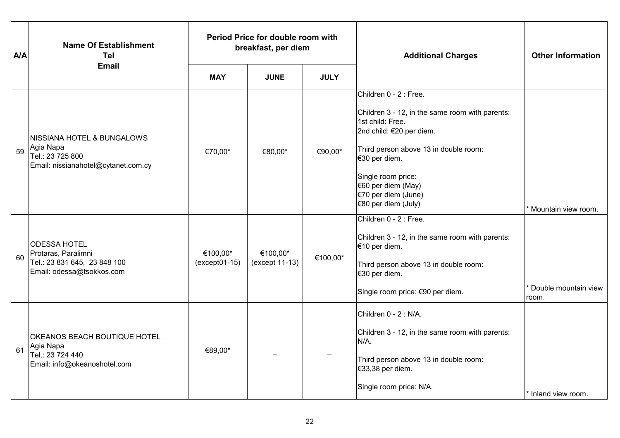| <b>A/A</b> | <b>Name Of Establishment</b><br><b>Tel</b><br><b>Email</b>                                                    | Period Price for double room with<br>breakfast, per diem |                            |             | <b>Additional Charges</b>                                                                                                                                                                                                                                                     | <b>Other Information</b>       |
|------------|---------------------------------------------------------------------------------------------------------------|----------------------------------------------------------|----------------------------|-------------|-------------------------------------------------------------------------------------------------------------------------------------------------------------------------------------------------------------------------------------------------------------------------------|--------------------------------|
|            |                                                                                                               | <b>MAY</b>                                               | <b>JUNE</b>                | <b>JULY</b> |                                                                                                                                                                                                                                                                               |                                |
| 59         | <b>NISSIANA HOTEL &amp; BUNGALOWS</b><br>Agia Napa<br>Tel.: 23 725 800<br>Email: nissianahotel@cytanet.com.cy | €70,00*                                                  | €80,00*                    | €90,00*     | Children 0 - 2 : Free.<br>Children 3 - 12, in the same room with parents:<br>1st child: Free.<br>2nd child: €20 per diem.<br>Third person above 13 in double room:<br>€30 per diem.<br>Single room price:<br>€60 per diem (May)<br>€70 per diem (June)<br>€80 per diem (July) | Mountain view room.            |
| 60         | <b>ODESSA HOTEL</b><br>Protaras, Paralimni<br>Tel.: 23 831 645, 23 848 100<br>Email: odessa@tsokkos.com       | €100,00*<br>$(except 01-15)$                             | €100,00*<br>(except 11-13) | €100,00*    | Children 0 - 2 : Free.<br>Children 3 - 12, in the same room with parents:<br>€10 per diem.<br>Third person above 13 in double room:<br>€30 per diem.<br>Single room price: €90 per diem.                                                                                      | Double mountain view<br>room.  |
| 61         | OKEANOS BEACH BOUTIQUE HOTEL<br>Agia Napa<br>Tel.: 23 724 440<br>Email: info@okeanoshotel.com                 | €89,00*                                                  |                            |             | Children 0 - 2 : N/A.<br>Children 3 - 12, in the same room with parents:<br>N/A.<br>Third person above 13 in double room:<br>€33,38 per diem.<br>Single room price: N/A.                                                                                                      | <sup>*</sup> Inland view room. |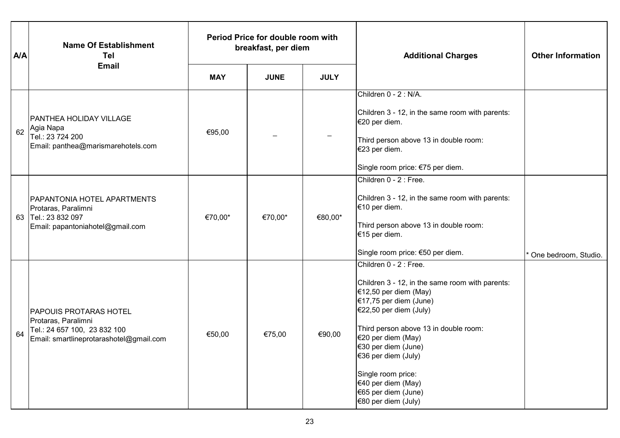| <b>A/A</b> | <b>Name Of Establishment</b><br><b>Tel</b><br><b>Email</b>                                                                      | Period Price for double room with<br>breakfast, per diem |             |             | <b>Additional Charges</b>                                                                                                                                                                                                                                                                                                                                       | <b>Other Information</b> |
|------------|---------------------------------------------------------------------------------------------------------------------------------|----------------------------------------------------------|-------------|-------------|-----------------------------------------------------------------------------------------------------------------------------------------------------------------------------------------------------------------------------------------------------------------------------------------------------------------------------------------------------------------|--------------------------|
|            |                                                                                                                                 | <b>MAY</b>                                               | <b>JUNE</b> | <b>JULY</b> |                                                                                                                                                                                                                                                                                                                                                                 |                          |
| 62         | <b>PANTHEA HOLIDAY VILLAGE</b><br>Agia Napa<br>Tel.: 23 724 200<br>Email: panthea@marismarehotels.com                           | €95,00                                                   |             |             | Children 0 - 2 : N/A.<br>Children 3 - 12, in the same room with parents:<br>€20 per diem.<br>Third person above 13 in double room:<br>€23 per diem.<br>Single room price: €75 per diem.                                                                                                                                                                         |                          |
| 63         | PAPANTONIA HOTEL APARTMENTS<br>Protaras, Paralimni<br>Tel.: 23 832 097<br>Email: papantoniahotel@gmail.com                      | €70,00*                                                  | €70,00*     | €80,00*     | Children 0 - 2 : Free.<br>Children 3 - 12, in the same room with parents:<br>€10 per diem.<br>Third person above 13 in double room:<br>€15 per diem.<br>Single room price: €50 per diem.                                                                                                                                                                        | One bedroom, Studio.     |
| 64         | <b>PAPOUIS PROTARAS HOTEL</b><br>Protaras, Paralimni<br>Tel.: 24 657 100, 23 832 100<br>Email: smartlineprotarashotel@gmail.com | €50,00                                                   | €75,00      | €90,00      | Children 0 - 2 : Free.<br>Children 3 - 12, in the same room with parents:<br>€12,50 per diem (May)<br>€17,75 per diem (June)<br>$€22,50$ per diem (July)<br>Third person above 13 in double room:<br>€20 per diem (May)<br>€30 per diem (June)<br>€36 per diem (July)<br>Single room price:<br>€40 per diem (May)<br>€65 per diem (June)<br>€80 per diem (July) |                          |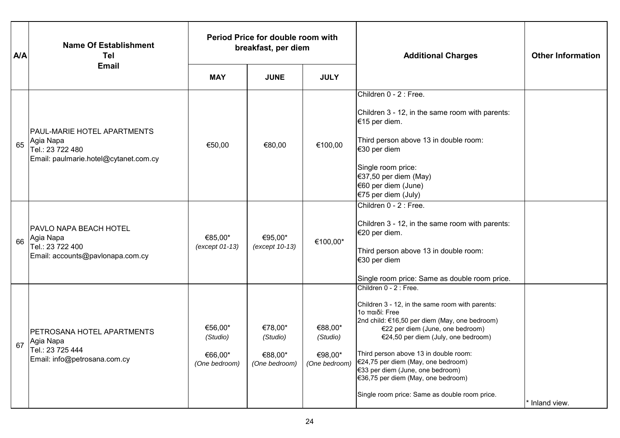| <b>A/A</b> | <b>Name Of Establishment</b><br>Tel<br><b>Email</b>                                                          | Period Price for double room with<br>breakfast, per diem |                                                 |                                                 | <b>Additional Charges</b>                                                                                                                                                                                                                                                                                                                                                                                                         | <b>Other Information</b> |
|------------|--------------------------------------------------------------------------------------------------------------|----------------------------------------------------------|-------------------------------------------------|-------------------------------------------------|-----------------------------------------------------------------------------------------------------------------------------------------------------------------------------------------------------------------------------------------------------------------------------------------------------------------------------------------------------------------------------------------------------------------------------------|--------------------------|
|            |                                                                                                              | <b>MAY</b>                                               | <b>JUNE</b>                                     | <b>JULY</b>                                     |                                                                                                                                                                                                                                                                                                                                                                                                                                   |                          |
| 65         | <b>PAUL-MARIE HOTEL APARTMENTS</b><br>Agia Napa<br>Tel.: 23 722 480<br>Email: paulmarie.hotel@cytanet.com.cy | €50,00                                                   | €80,00                                          | €100,00                                         | Children 0 - 2 : Free.<br>Children 3 - 12, in the same room with parents:<br>€15 per diem.<br>Third person above 13 in double room:<br>€30 per diem<br>Single room price:<br>€37,50 per diem (May)<br>€60 per diem (June)<br>€75 per diem (July)                                                                                                                                                                                  |                          |
| 66         | <b>PAVLO NAPA BEACH HOTEL</b><br>Agia Napa<br>Tel.: 23 722 400<br>Email: accounts@pavlonapa.com.cy           | €85,00*<br>(except 01-13)                                | €95,00*<br>(except 10-13)                       | €100,00*                                        | Children 0 - 2 : Free.<br>Children 3 - 12, in the same room with parents:<br>€20 per diem.<br>Third person above 13 in double room:<br>€30 per diem<br>Single room price: Same as double room price.                                                                                                                                                                                                                              |                          |
| 67         | <b>PETROSANA HOTEL APARTMENTS</b><br>Agia Napa<br>Tel.: 23 725 444<br>Email: info@petrosana.com.cy           | €56,00*<br>(Studio)<br>€66,00*<br>(One bedroom)          | €78,00*<br>(Studio)<br>€88,00*<br>(One bedroom) | €88,00*<br>(Studio)<br>€98,00*<br>(One bedroom) | Children 0 - 2 : Free.<br>Children 3 - 12, in the same room with parents:<br>1ο παιδί: Free<br>2nd child: €16,50 per diem (May, one bedroom)<br>€22 per diem (June, one bedroom)<br>€24,50 per diem (July, one bedroom)<br>Third person above 13 in double room:<br>€24,75 per diem (May, one bedroom)<br>€33 per diem (June, one bedroom)<br>€36,75 per diem (May, one bedroom)<br>Single room price: Same as double room price. | * Inland view.           |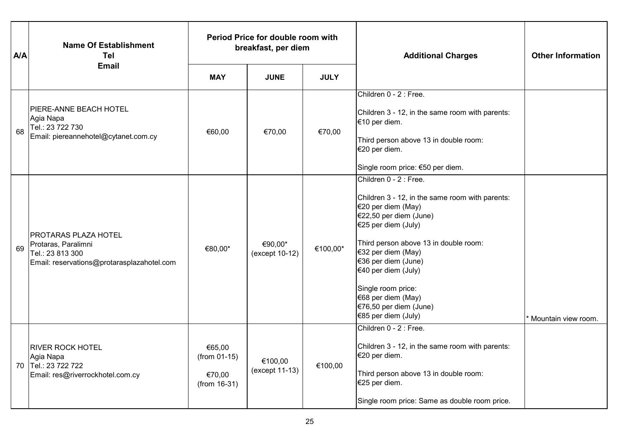| <b>A/A</b> | <b>Name Of Establishment</b><br>Tel                                                                                  |                                                    | Period Price for double room with<br>breakfast, per diem |             | <b>Additional Charges</b>                                                                                                                                                                                                                                                                                                                                  | <b>Other Information</b> |
|------------|----------------------------------------------------------------------------------------------------------------------|----------------------------------------------------|----------------------------------------------------------|-------------|------------------------------------------------------------------------------------------------------------------------------------------------------------------------------------------------------------------------------------------------------------------------------------------------------------------------------------------------------------|--------------------------|
|            | <b>Email</b>                                                                                                         | <b>MAY</b>                                         | <b>JUNE</b>                                              | <b>JULY</b> |                                                                                                                                                                                                                                                                                                                                                            |                          |
| 68         | <b>PIERE-ANNE BEACH HOTEL</b><br>Agia Napa<br>Tel.: 23 722 730<br>Email: piereannehotel@cytanet.com.cy               | €60,00                                             | €70,00                                                   | €70,00      | Children 0 - 2 : Free.<br>Children 3 - 12, in the same room with parents:<br>€10 per diem.<br>Third person above 13 in double room:<br>€20 per diem.<br>Single room price: €50 per diem.                                                                                                                                                                   |                          |
| 69         | <b>PROTARAS PLAZA HOTEL</b><br>Protaras, Paralimni<br>Tel.: 23 813 300<br>Email: reservations@protarasplazahotel.com | €80,00*                                            | €90,00*<br>(except 10-12)                                | €100,00*    | Children 0 - 2 : Free.<br>Children 3 - 12, in the same room with parents:<br>€20 per diem (May)<br>€22,50 per diem (June)<br>€25 per diem (July)<br>Third person above 13 in double room:<br>€32 per diem (May)<br>€36 per diem (June)<br>€40 per diem (July)<br>Single room price:<br>€68 per diem (May)<br>€76,50 per diem (June)<br>€85 per diem (July) | Mountain view room.      |
| 70         | <b>RIVER ROCK HOTEL</b><br>Agia Napa<br>Tel.: 23 722 722<br>Email: res@riverrockhotel.com.cy                         | €65,00<br>(from 01-15)<br>€70,00<br>$(from 16-31)$ | €100,00<br>(except 11-13)                                | €100,00     | Children 0 - 2 : Free.<br>Children 3 - 12, in the same room with parents:<br>€20 per diem.<br>Third person above 13 in double room:<br>€25 per diem.<br>Single room price: Same as double room price.                                                                                                                                                      |                          |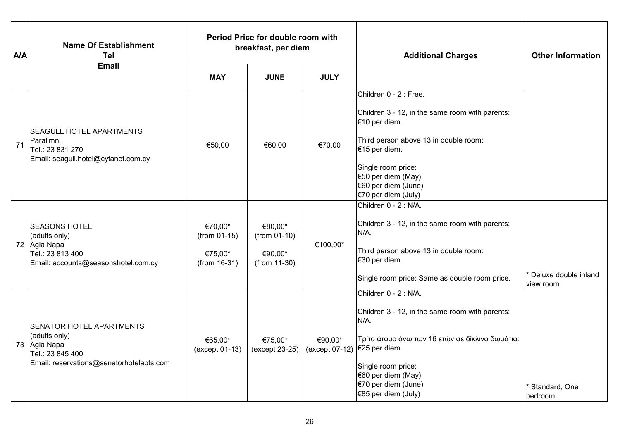| <b>A/A</b> | <b>Name Of Establishment</b><br><b>Tel</b>                                                                                       | Period Price for double room with<br>breakfast, per diem |                                                      |                                           | <b>Additional Charges</b>                                                                                                                                                                                                                      | <b>Other Information</b>           |
|------------|----------------------------------------------------------------------------------------------------------------------------------|----------------------------------------------------------|------------------------------------------------------|-------------------------------------------|------------------------------------------------------------------------------------------------------------------------------------------------------------------------------------------------------------------------------------------------|------------------------------------|
|            | <b>Email</b>                                                                                                                     | <b>MAY</b>                                               | <b>JUNE</b>                                          | <b>JULY</b>                               |                                                                                                                                                                                                                                                |                                    |
| 71         | <b>SEAGULL HOTEL APARTMENTS</b><br>Paralimni<br>Tel.: 23 831 270<br>Email: seagull.hotel@cytanet.com.cy                          | €50,00                                                   | €60,00                                               | €70,00                                    | Children 0 - 2 : Free.<br>Children 3 - 12, in the same room with parents:<br>€10 per diem.<br>Third person above 13 in double room:<br>€15 per diem.<br>Single room price:<br>€50 per diem (May)<br>€60 per diem (June)<br>€70 per diem (July) |                                    |
|            | <b>SEASONS HOTEL</b><br>(adults only)<br>72 Agia Napa<br>Tel.: 23 813 400<br>Email: accounts@seasonshotel.com.cy                 | €70,00*<br>(from 01-15)<br>€75,00*<br>$(from 16-31)$     | €80,00*<br>(from 01-10)<br>€90,00*<br>$(from 11-30)$ | €100,00*                                  | Children 0 - 2 : N/A.<br>Children 3 - 12, in the same room with parents:<br>$N/A$ .<br>Third person above 13 in double room:<br>€30 per diem.<br>Single room price: Same as double room price.                                                 | Deluxe double inland<br>view room. |
|            | <b>SENATOR HOTEL APARTMENTS</b><br>(adults only)<br>73 Agia Napa<br>Tel.: 23 845 400<br>Email: reservations@senatorhotelapts.com | €65,00*<br>(except 01-13)                                | €75,00*<br>(except 23-25)                            | €90,00*<br>(except 07-12)   €25 per diem. | Children 0 - 2 : N/A.<br>Children 3 - 12, in the same room with parents:<br>N/A.<br>Τρίτο άτομο άνω των 16 ετών σε δίκλινο δωμάτιο:<br>Single room price:<br>€60 per diem (May)<br>€70 per diem (June)<br>€85 per diem (July)                  | Standard, One<br>bedroom.          |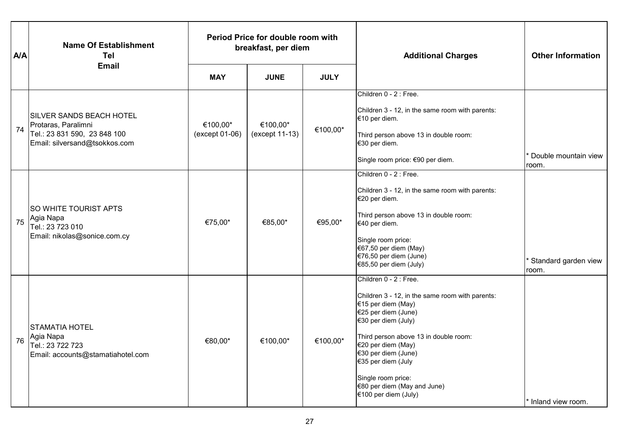| <b>A/A</b> | <b>Name Of Establishment</b><br>Tel                                                                                     | Period Price for double room with<br>breakfast, per diem |                            |             | <b>Additional Charges</b>                                                                                                                                                                                                                                                                                                              | <b>Other Information</b>      |
|------------|-------------------------------------------------------------------------------------------------------------------------|----------------------------------------------------------|----------------------------|-------------|----------------------------------------------------------------------------------------------------------------------------------------------------------------------------------------------------------------------------------------------------------------------------------------------------------------------------------------|-------------------------------|
|            | <b>Email</b>                                                                                                            | <b>MAY</b>                                               | <b>JUNE</b>                | <b>JULY</b> |                                                                                                                                                                                                                                                                                                                                        |                               |
| 74         | <b>SILVER SANDS BEACH HOTEL</b><br>Protaras, Paralimni<br>Tel.: 23 831 590, 23 848 100<br>Email: silversand@tsokkos.com | €100,00*<br>(except 01-06)                               | €100,00*<br>(except 11-13) | €100,00*    | Children 0 - 2 : Free.<br>Children 3 - 12, in the same room with parents:<br>€10 per diem.<br>Third person above 13 in double room:<br>€30 per diem.<br>Single room price: €90 per diem.                                                                                                                                               | Double mountain view<br>room. |
| 75         | <b>SO WHITE TOURIST APTS</b><br>Agia Napa<br>Tel.: 23 723 010<br>Email: nikolas@sonice.com.cy                           | €75,00*                                                  | €85,00*                    | €95,00*     | Children 0 - 2 : Free.<br>Children 3 - 12, in the same room with parents:<br>€20 per diem.<br>Third person above 13 in double room:<br>€40 per diem.<br>Single room price:<br>€67,50 per diem (May)<br>€76,50 per diem (June)<br>€85,50 per diem (July)                                                                                | Standard garden view<br>room. |
| 76         | <b>STAMATIA HOTEL</b><br>Agia Napa<br>Tel.: 23 722 723<br>Email: accounts@stamatiahotel.com                             | €80,00*                                                  | €100,00*                   | €100,00*    | Children 0 - 2 : Free.<br>Children 3 - 12, in the same room with parents:<br>€15 per diem (May)<br>€25 per diem (June)<br>€30 per diem (July)<br>Third person above 13 in double room:<br>€20 per diem (May)<br>€30 per diem (June)<br>€35 per diem (July<br>Single room price:<br>€80 per diem (May and June)<br>€100 per diem (July) | * Inland view room.           |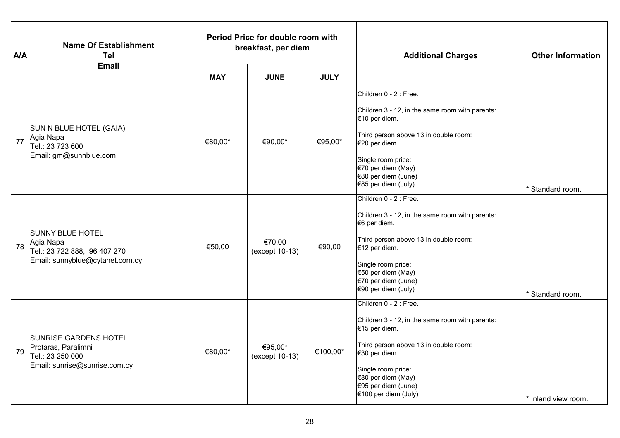| <b>A/A</b> | <b>Name Of Establishment</b><br>Tel                                                                      | Period Price for double room with<br>breakfast, per diem |                           |             | <b>Additional Charges</b>                                                                                                                                                                                                                       | <b>Other Information</b> |
|------------|----------------------------------------------------------------------------------------------------------|----------------------------------------------------------|---------------------------|-------------|-------------------------------------------------------------------------------------------------------------------------------------------------------------------------------------------------------------------------------------------------|--------------------------|
|            | <b>Email</b>                                                                                             | <b>MAY</b>                                               | <b>JUNE</b>               | <b>JULY</b> |                                                                                                                                                                                                                                                 |                          |
| 77         | SUN N BLUE HOTEL (GAIA)<br>Agia Napa<br>Tel.: 23 723 600<br>Email: gm@sunnblue.com                       | €80,00*                                                  | €90,00*                   | €95,00*     | Children 0 - 2 : Free.<br>Children 3 - 12, in the same room with parents:<br>€10 per diem.<br>Third person above 13 in double room:<br>€20 per diem.<br>Single room price:<br>€70 per diem (May)<br>€80 per diem (June)<br>€85 per diem (July)  | Standard room.           |
| 78         | <b>SUNNY BLUE HOTEL</b><br>Agia Napa<br>Tel.: 23 722 888, 96 407 270<br>Email: sunnyblue@cytanet.com.cy  | €50,00                                                   | €70,00<br>(except 10-13)  | €90,00      | Children 0 - 2 : Free.<br>Children 3 - 12, in the same room with parents:<br>€6 per diem.<br>Third person above 13 in double room:<br>€12 per diem.<br>Single room price:<br>€50 per diem (May)<br>€70 per diem (June)<br>€90 per diem (July)   | Standard room.           |
| 79         | <b>SUNRISE GARDENS HOTEL</b><br>Protaras, Paralimni<br>Tel.: 23 250 000<br>Email: sunrise@sunrise.com.cy | €80,00*                                                  | €95,00*<br>(except 10-13) | €100,00*    | Children 0 - 2 : Free.<br>Children 3 - 12, in the same room with parents:<br>€15 per diem.<br>Third person above 13 in double room:<br>€30 per diem.<br>Single room price:<br>€80 per diem (May)<br>€95 per diem (June)<br>€100 per diem (July) | * Inland view room.      |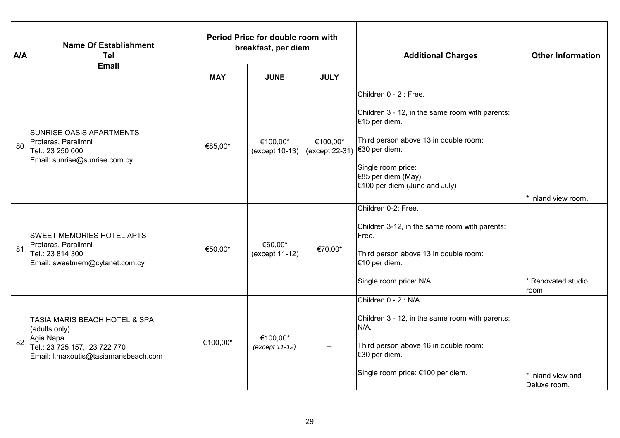| <b>A/A</b> | <b>Name Of Establishment</b><br><b>Tel</b>                                                                                           |            | Period Price for double room with<br>breakfast, per diem |                            | <b>Additional Charges</b>                                                                                                                                                                                                         | <b>Other Information</b>        |
|------------|--------------------------------------------------------------------------------------------------------------------------------------|------------|----------------------------------------------------------|----------------------------|-----------------------------------------------------------------------------------------------------------------------------------------------------------------------------------------------------------------------------------|---------------------------------|
|            | <b>Email</b>                                                                                                                         | <b>MAY</b> | <b>JUNE</b>                                              | <b>JULY</b>                |                                                                                                                                                                                                                                   |                                 |
| 80         | <b>SUNRISE OASIS APARTMENTS</b><br>Protaras, Paralimni<br>Tel.: 23 250 000<br>Email: sunrise@sunrise.com.cy                          | €85,00*    | €100,00*<br>$(except 10-13)$                             | €100,00*<br>(except 22-31) | Children 0 - 2 : Free.<br>Children 3 - 12, in the same room with parents:<br>€15 per diem.<br>Third person above 13 in double room:<br>€30 per diem.<br>Single room price:<br>€85 per diem (May)<br>€100 per diem (June and July) | Inland view room.               |
| 81         | <b>SWEET MEMORIES HOTEL APTS</b><br>Protaras, Paralimni<br>Tel.: 23 814 300<br>Email: sweetmem@cytanet.com.cy                        | €50,00*    | €60,00*<br>(except 11-12)                                | €70,00*                    | Children 0-2: Free.<br>Children 3-12, in the same room with parents:<br>Free.<br>Third person above 13 in double room:<br>€10 per diem.<br>Single room price: N/A.                                                                | Renovated studio<br>room.       |
| 82         | TASIA MARIS BEACH HOTEL & SPA<br>(adults only)<br>Agia Napa<br>Tel.: 23 725 157, 23 722 770<br>Email: I.maxoutis@tasiamarisbeach.com | €100,00*   | €100,00*<br>(except 11-12)                               |                            | Children 0 - 2 : N/A.<br>Children 3 - 12, in the same room with parents:<br>$N/A$ .<br>Third person above 16 in double room:<br>€30 per diem.<br>Single room price: €100 per diem.                                                | Inland view and<br>Deluxe room. |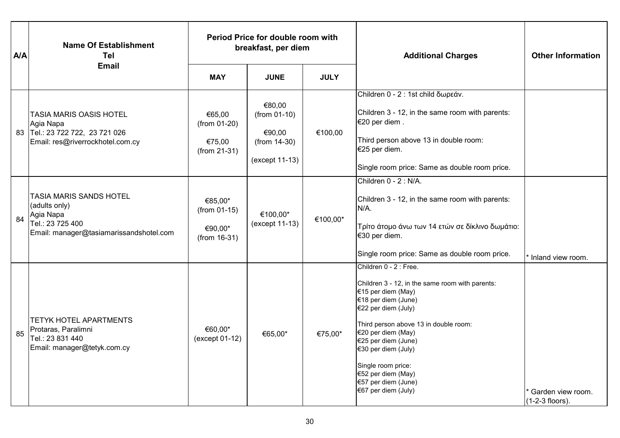| <b>A/A</b> | <b>Name Of Establishment</b><br>Tel                                                                                  |                                                        | Period Price for double room with<br>breakfast, per diem             |             | <b>Additional Charges</b>                                                                                                                                                                                                                                                                                                                            | <b>Other Information</b>             |
|------------|----------------------------------------------------------------------------------------------------------------------|--------------------------------------------------------|----------------------------------------------------------------------|-------------|------------------------------------------------------------------------------------------------------------------------------------------------------------------------------------------------------------------------------------------------------------------------------------------------------------------------------------------------------|--------------------------------------|
|            | <b>Email</b>                                                                                                         | <b>MAY</b>                                             | <b>JUNE</b>                                                          | <b>JULY</b> |                                                                                                                                                                                                                                                                                                                                                      |                                      |
|            | TASIA MARIS OASIS HOTEL<br>Agia Napa<br>83 Tel.: 23 722 722, 23 721 026<br>Email: res@riverrockhotel.com.cy          | €65,00<br>(from 01-20)<br>€75,00<br>$(from 21-31)$     | €80,00<br>$(from 01-10)$<br>€90,00<br>(from 14-30)<br>(except 11-13) | €100,00     | Children 0 - 2 : 1st child δωρεάν.<br>Children 3 - 12, in the same room with parents:<br>€20 per diem.<br>Third person above 13 in double room:<br>€25 per diem.<br>Single room price: Same as double room price.                                                                                                                                    |                                      |
| 84         | TASIA MARIS SANDS HOTEL<br>(adults only)<br>Agia Napa<br>Tel.: 23 725 400<br>Email: manager@tasiamarissandshotel.com | €85,00*<br>$(from 01-15)$<br>€90,00*<br>$(from 16-31)$ | €100,00*<br>(except 11-13)                                           | €100,00*    | Children 0 - 2 : N/A.<br>Children 3 - 12, in the same room with parents:<br>N/A.<br>Τρίτο άτομο άνω των 14 ετών σε δίκλινο δωμάτιο:<br>€30 per diem.<br>Single room price: Same as double room price.                                                                                                                                                | Inland view room.                    |
| 85         | TETYK HOTEL APARTMENTS<br>Protaras, Paralimni<br>Tel.: 23 831 440<br>Email: manager@tetyk.com.cy                     | €60,00*<br>(except 01-12)                              | €65,00*                                                              | €75,00*     | Children 0 - 2 : Free.<br>Children 3 - 12, in the same room with parents:<br>€15 per diem (May)<br>€18 per diem (June)<br>€22 per diem (July)<br>Third person above 13 in double room:<br>€20 per diem (May)<br>€25 per diem (June)<br>€30 per diem (July)<br>Single room price:<br>€52 per diem (May)<br>€57 per diem (June)<br>€67 per diem (July) | Garden view room.<br>(1-2-3 floors). |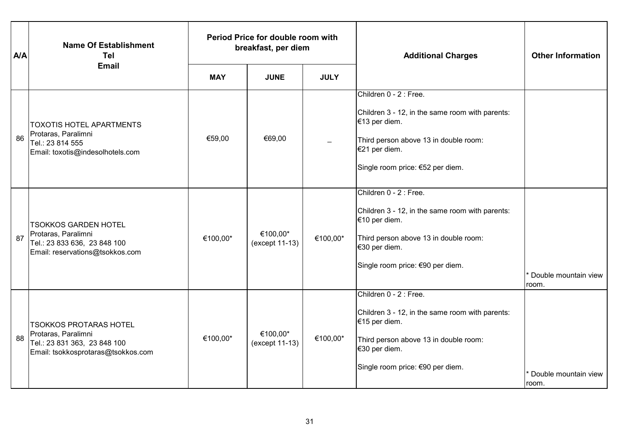| <b>A/A</b> | <b>Name Of Establishment</b><br><b>Tel</b>                                                                                 | Period Price for double room with<br>breakfast, per diem |                            |             | <b>Additional Charges</b>                                                                                                                                                                | <b>Other Information</b>      |
|------------|----------------------------------------------------------------------------------------------------------------------------|----------------------------------------------------------|----------------------------|-------------|------------------------------------------------------------------------------------------------------------------------------------------------------------------------------------------|-------------------------------|
|            | <b>Email</b>                                                                                                               | <b>MAY</b>                                               | <b>JUNE</b>                | <b>JULY</b> |                                                                                                                                                                                          |                               |
| 86         | <b>TOXOTIS HOTEL APARTMENTS</b><br>Protaras, Paralimni<br>Tel.: 23 814 555<br>Email: toxotis@indesolhotels.com             | €59,00                                                   | €69,00                     |             | Children 0 - 2 : Free.<br>Children 3 - 12, in the same room with parents:<br>€13 per diem.<br>Third person above 13 in double room:<br>€21 per diem.<br>Single room price: €52 per diem. |                               |
| 87         | <b>TSOKKOS GARDEN HOTEL</b><br>Protaras, Paralimni<br>Tel.: 23 833 636, 23 848 100<br>Email: reservations@tsokkos.com      | €100,00*                                                 | €100,00*<br>(except 11-13) | €100,00*    | Children 0 - 2 : Free.<br>Children 3 - 12, in the same room with parents:<br>€10 per diem.<br>Third person above 13 in double room:<br>€30 per diem.<br>Single room price: €90 per diem. | Double mountain view<br>room. |
| 88         | <b>TSOKKOS PROTARAS HOTEL</b><br>Protaras, Paralimni<br>Tel.: 23 831 363, 23 848 100<br>Email: tsokkosprotaras@tsokkos.com | €100,00*                                                 | €100.00*<br>(except 11-13) | €100,00*    | Children 0 - 2 : Free.<br>Children 3 - 12, in the same room with parents:<br>€15 per diem.<br>Third person above 13 in double room:<br>€30 per diem.<br>Single room price: €90 per diem. | Double mountain view<br>room. |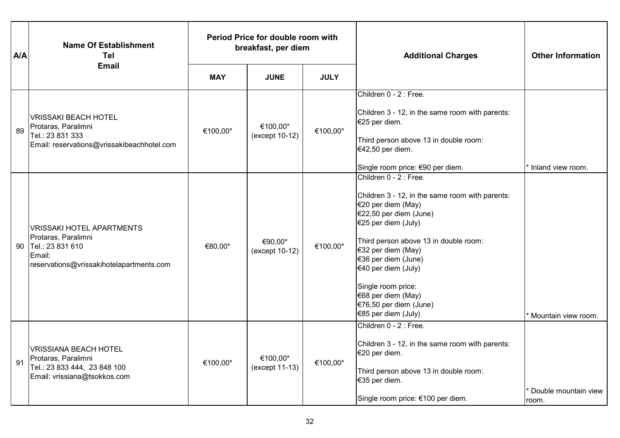| <b>A/A</b> | <b>Name Of Establishment</b><br><b>Tel</b>                                                                                           | Period Price for double room with<br>breakfast, per diem |                            |             | <b>Additional Charges</b>                                                                                                                                                                                                                                                                                                                                  | <b>Other Information</b>                   |
|------------|--------------------------------------------------------------------------------------------------------------------------------------|----------------------------------------------------------|----------------------------|-------------|------------------------------------------------------------------------------------------------------------------------------------------------------------------------------------------------------------------------------------------------------------------------------------------------------------------------------------------------------------|--------------------------------------------|
|            | <b>Email</b>                                                                                                                         | <b>MAY</b>                                               | <b>JUNE</b>                | <b>JULY</b> |                                                                                                                                                                                                                                                                                                                                                            |                                            |
| 89         | <b>VRISSAKI BEACH HOTEL</b><br>Protaras, Paralimni<br>Tel.: 23 831 333<br>Email: reservations@vrissakibeachhotel.com                 | €100,00*                                                 | €100,00*<br>(except 10-12) | €100,00*    | Children 0 - 2 : Free.<br>Children 3 - 12, in the same room with parents:<br>€25 per diem.<br>Third person above 13 in double room:<br>€42,50 per diem.<br>Single room price: €90 per diem.                                                                                                                                                                | Inland view room.                          |
|            | <b>VRISSAKI HOTEL APARTMENTS</b><br>Protaras, Paralimni<br>90 Tel.: 23 831 610<br>Email:<br>reservations@vrissakihotelapartments.com | €80,00*                                                  | €90,00*<br>(except 10-12)  | €100,00*    | Children 0 - 2 : Free.<br>Children 3 - 12, in the same room with parents:<br>€20 per diem (May)<br>€22,50 per diem (June)<br>€25 per diem (July)<br>Third person above 13 in double room:<br>€32 per diem (May)<br>€36 per diem (June)<br>€40 per diem (July)<br>Single room price:<br>€68 per diem (May)<br>€76,50 per diem (June)<br>€85 per diem (July) | Mountain view room.                        |
| 91         | <b>VRISSIANA BEACH HOTEL</b><br>Protaras, Paralimni<br>Tel.: 23 833 444, 23 848 100<br>Email: vrissiana@tsokkos.com                  | €100,00*                                                 | €100,00*<br>(except 11-13) | €100,00*    | Children 0 - 2 : Free.<br>Children 3 - 12, in the same room with parents:<br>€20 per diem.<br>Third person above 13 in double room:<br>€35 per diem.<br>Single room price: €100 per diem.                                                                                                                                                                  | <sup>*</sup> Double mountain view<br>room. |